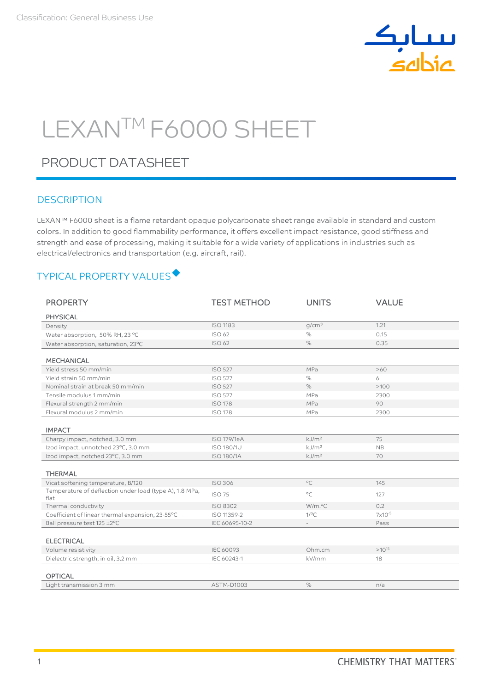

# LEXANTM F6000 SHEET

## PRODUCT DATASHEET

## **DESCRIPTION**

LEXAN™ F6000 sheet is a flame retardant opaque polycarbonate sheet range available in standard and custom colors. In addition to good flammability performance, it offers excellent impact resistance, good stiffness and strength and ease of processing, making it suitable for a wide variety of applications in industries such as electrical/electronics and transportation (e.g. aircraft, rail).

## TYPICAL PROPERTY VALUES

| <b>PROPERTY</b>                                         | <b>TEST METHOD</b> | <b>UNITS</b>      | <b>VALUE</b>     |
|---------------------------------------------------------|--------------------|-------------------|------------------|
| <b>PHYSICAL</b>                                         |                    |                   |                  |
| Density                                                 | <b>ISO 1183</b>    | q/cm <sup>3</sup> | 1.21             |
| Water absorption, 50% RH, 23 °C                         | ISO 62             | $\%$              | 0.15             |
| Water absorption, saturation, 23°C                      | ISO 62             | %                 | 0.35             |
|                                                         |                    |                   |                  |
| <b>MECHANICAL</b>                                       |                    |                   |                  |
| Yield stress 50 mm/min                                  | <b>ISO 527</b>     | MPa               | >60              |
| Yield strain 50 mm/min                                  | <b>ISO 527</b>     | %                 | 6                |
| Nominal strain at break 50 mm/min                       | <b>ISO 527</b>     | $\%$              | >100             |
| Tensile modulus 1 mm/min                                | <b>ISO 527</b>     | MPa               | 2300             |
| Flexural strength 2 mm/min                              | <b>ISO 178</b>     | MPa               | 90               |
| Flexural modulus 2 mm/min                               | <b>ISO 178</b>     | MPa               | 2300             |
|                                                         |                    |                   |                  |
| <b>IMPACT</b>                                           |                    |                   |                  |
| Charpy impact, notched, 3.0 mm                          | <b>ISO 179/1eA</b> | kJ/m <sup>2</sup> | 75               |
| Izod impact, unnotched 23°C, 3.0 mm                     | <b>ISO 180/1U</b>  | kJ/m <sup>2</sup> | <b>NB</b>        |
| Izod impact, notched 23°C, 3.0 mm                       | <b>ISO 180/1A</b>  | kJ/m <sup>2</sup> | 70               |
|                                                         |                    |                   |                  |
| <b>THERMAL</b>                                          |                    |                   |                  |
| Vicat softening temperature, B/120                      | <b>ISO 306</b>     | $\circ$ C         | 145              |
| Temperature of deflection under load (type A), 1.8 MPa, | <b>ISO 75</b>      | $^{\circ}$ C      | 127              |
| flat                                                    |                    |                   |                  |
| Thermal conductivity                                    | ISO 8302           | W/m.°C            | 0.2              |
| Coefficient of linear thermal expansion, 23-55°C        | ISO 11359-2        | $1$ /°C           | $7\times10^{-5}$ |
| Ball pressure test 125 ±2°C                             | IEC 60695-10-2     |                   | Pass             |
|                                                         |                    |                   |                  |
| <b>ELECTRICAL</b>                                       |                    |                   |                  |
| Volume resistivity                                      | <b>IEC 60093</b>   | Ohm.cm            | $>10^{15}$       |
| Dielectric strength, in oil, 3.2 mm                     | IEC 60243-1        | kV/mm             | 18               |
|                                                         |                    |                   |                  |
| <b>OPTICAL</b>                                          |                    |                   |                  |
| Light transmission 3 mm                                 | <b>ASTM-D1003</b>  | $\%$              | n/a              |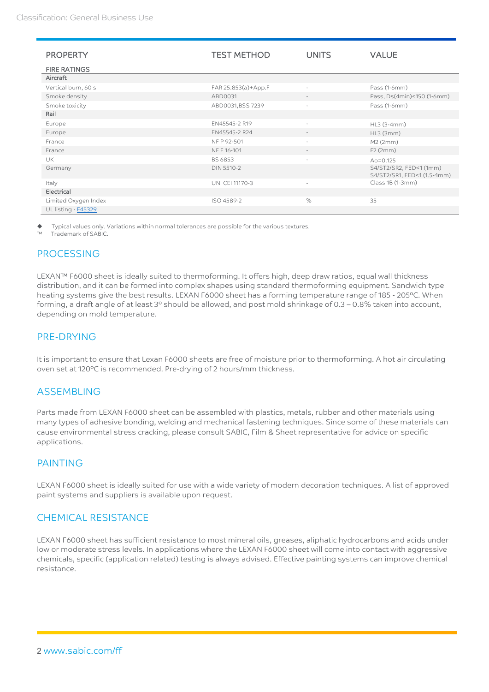| <b>PROPERTY</b>            | <b>TEST METHOD</b>  | <b>UNITS</b>             | <b>VALUE</b>                                           |
|----------------------------|---------------------|--------------------------|--------------------------------------------------------|
|                            |                     |                          |                                                        |
| <b>FIRE RATINGS</b>        |                     |                          |                                                        |
| Aircraft                   |                     |                          |                                                        |
| Vertical burn, 60 s        | FAR 25.853(a)+App.F | $\overline{\phantom{a}}$ | Pass (1-6mm)                                           |
| Smoke density              | ABD0031             | $\overline{\phantom{a}}$ | Pass, Ds(4min)<150 (1-6mm)                             |
| Smoke toxicity             | ABD0031,BSS 7239    | $\sim$                   | Pass (1-6mm)                                           |
| Rail                       |                     |                          |                                                        |
| Europe                     | EN45545-2 R19       | $\overline{\phantom{a}}$ | HL3 (3-4mm)                                            |
| Europe                     | EN45545-2 R24       |                          | HL3 (3mm)                                              |
| France                     | NF P 92-501         | $\sim$                   | M2 (2mm)                                               |
| France                     | NF F 16-101         |                          | F2(2mm)                                                |
| <b>UK</b>                  | BS 6853             | $\sim$                   | $Ao = 0.125$                                           |
| Germany                    | <b>DIN 5510-2</b>   |                          | S4/ST2/SR2, FED<1 (1mm)<br>S4/ST2/SR1, FED<1 (1.5-4mm) |
| Italy                      | UNI CEI 11170-3     | $\sim$                   | Class 1B (1-3mm)                                       |
| Electrical                 |                     |                          |                                                        |
| Limited Oxygen Index       | ISO 4589-2          | $\%$                     | 35                                                     |
| UL listing - <b>E45329</b> |                     |                          |                                                        |

Typical values only. Variations within normal tolerances are possible for the various textures.

Trademark of SABIC.

#### PROCESSING

LEXAN™ F6000 sheet is ideally suited to thermoforming. It offers high, deep draw ratios, equal wall thickness distribution, and it can be formed into complex shapes using standard thermoforming equipment. Sandwich type heating systems give the best results. LEXAN F6000 sheet has a forming temperature range of 185 - 205ºC. When forming, a draft angle of at least 3º should be allowed, and post mold shrinkage of 0.3 – 0.8% taken into account, depending on mold temperature.

#### PRE-DRYING

It is important to ensure that Lexan F6000 sheets are free of moisture prior to thermoforming. A hot air circulating oven set at 120ºC is recommended. Pre-drying of 2 hours/mm thickness.

#### ASSEMBLING

Parts made from LEXAN F6000 sheet can be assembled with plastics, metals, rubber and other materials using many types of adhesive bonding, welding and mechanical fastening techniques. Since some of these materials can cause environmental stress cracking, please consult SABIC, Film & Sheet representative for advice on specific applications.

### PAINTING

LEXAN F6000 sheet is ideally suited for use with a wide variety of modern decoration techniques. A list of approved paint systems and suppliers is available upon request.

#### CHEMICAL RESISTANCE

LEXAN F6000 sheet has sufficient resistance to most mineral oils, greases, aliphatic hydrocarbons and acids under low or moderate stress levels. In applications where the LEXAN F6000 sheet will come into contact with aggressive chemicals, specific (application related) testing is always advised. Effective painting systems can improve chemical resistance.